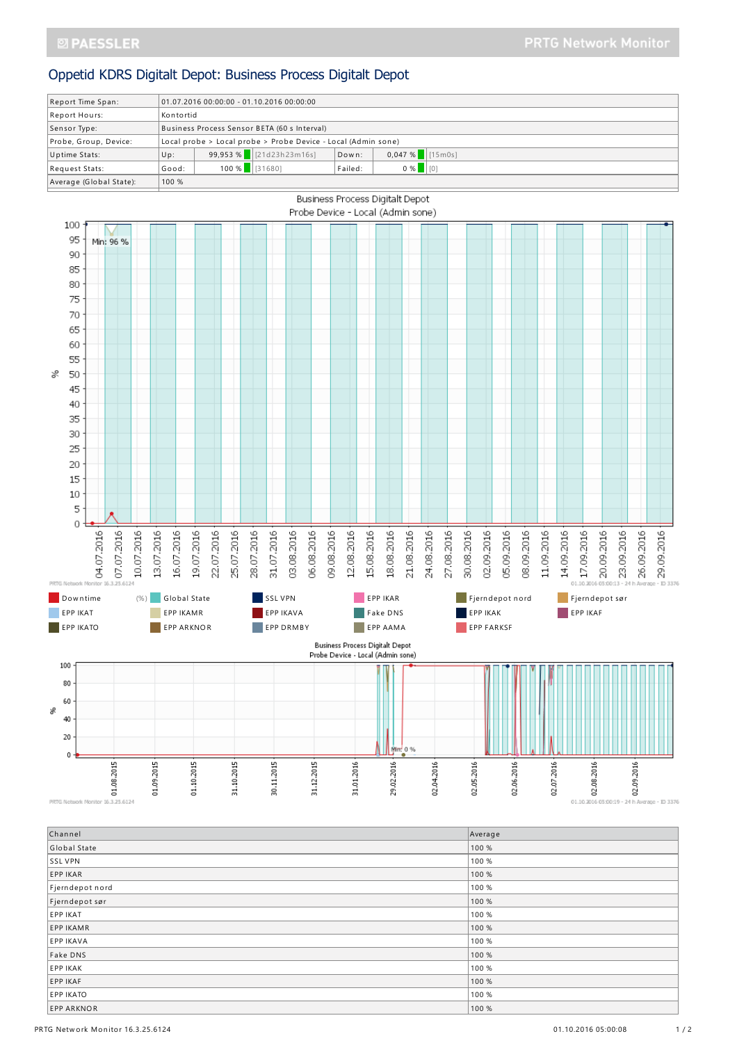## Oppetid KDRS Digitalt Depot: Business Process Digitalt Depot

| Report Time Span:       | $01.07.201600:00:00 - 01.10.201600:00:00$                     |                 |                         |         |                  |  |  |
|-------------------------|---------------------------------------------------------------|-----------------|-------------------------|---------|------------------|--|--|
| Report Hours:           | Kontortid                                                     |                 |                         |         |                  |  |  |
| Sensor Type:            | Business Process Sensor BETA (60 s Interval)                  |                 |                         |         |                  |  |  |
| Probe, Group, Device:   | Local probe > Local probe > Probe Device - Local (Admin sone) |                 |                         |         |                  |  |  |
| Uptime Stats:           | Up:                                                           |                 | 99,953 % [21d23h23m16s] | Down:   | $0,047%$ [15m0s] |  |  |
| Request Stats:          | Good:                                                         | $100\%$ [31680] |                         | Failed: | $0 %$ $ 00$      |  |  |
| Average (Global State): | 100 %                                                         |                 |                         |         |                  |  |  |
|                         |                                                               |                 |                         |         |                  |  |  |



PRTG Network Monitor 16.3.25.6124

| Channel           | Average |
|-------------------|---------|
| Global State      | 100 %   |
| SSL VPN           | 100 %   |
| <b>EPP IKAR</b>   | 100 %   |
| Fjerndepot nord   | 100 %   |
| Fjerndepot sør    | 100 %   |
| <b>EPP IKAT</b>   | 100 %   |
| <b>EPP IKAMR</b>  | 100 %   |
| <b>EPP IKAVA</b>  | 100 %   |
| Fake DNS          | 100 %   |
| <b>EPP IKAK</b>   | 100 %   |
| <b>EPP IKAF</b>   | 100 %   |
| <b>EPP IKATO</b>  | 100 %   |
| <b>EPP ARKNOR</b> | 100 %   |